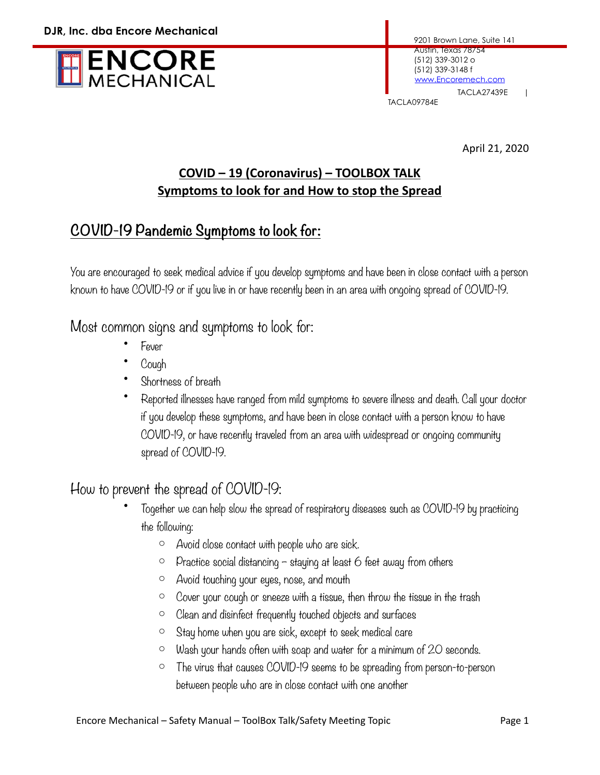

April 21, 2020

#### **COVID – 19 (Coronavirus) – TOOLBOX TALK Symptoms to look for and How to stop the Spread**

## **COVID-19 Pandemic Symptoms to look for:**

You are encouraged to seek medical advice if you develop symptoms and have been in close contact with a person known to have COVID-19 or if you live in or have recently been in an area with ongoing spread of COVID-19.

#### Most common signs and symptoms to look for:

- Fever
- Cough
- Shortness of breath
- Reported illnesses have ranged from mild symptoms to severe illness and death. Call your doctor if you develop these symptoms, and have been in close contact with a person know to have COVID-19, or have recently traveled from an area with widespread or ongoing community spread of COVID-19.

### How to prevent the spread of COVID-19:

- Together we can help slow the spread of respiratory diseases such as COVID-19 by practicing the following:
	- o Avoid close contact with people who are sick.
	- $\circ$  Practice social distancing staying at least 6 feet away from others
	- o Avoid touching your eyes, nose, and mouth
	- o Cover your cough or sneeze with a tissue, then throw the tissue in the trash
	- o Clean and disinfect frequently touched objects and surfaces
	- o Stay home when you are sick, except to seek medical care
	- $\circ$  Wash your hands often with soap and water for a minimum of 20 seconds.
	- o The virus that causes COVID-19 seems to be spreading from person-to-person between people who are in close contact with one another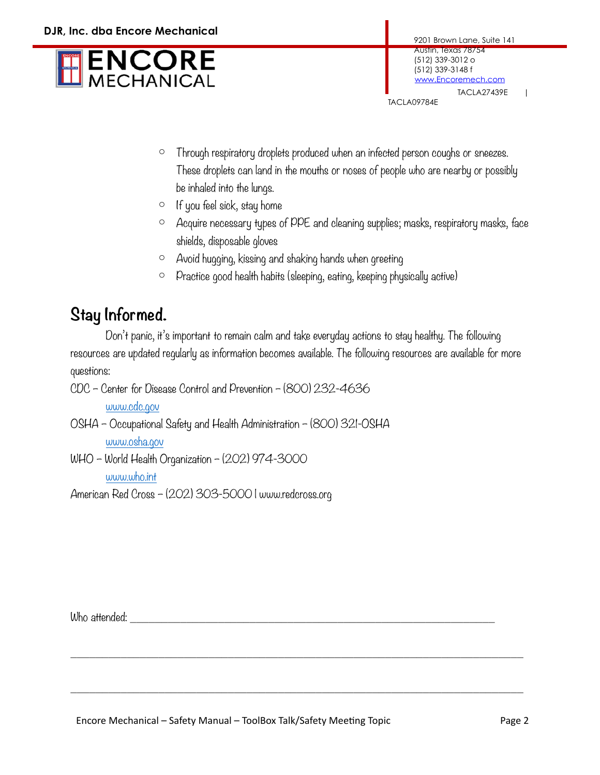

TACLA09784E

- o Through respiratory droplets produced when an infected person coughs or sneezes. These droplets can land in the mouths or noses of people who are nearby or possibly be inhaled into the lungs.
- o If you feel sick, stay home
- o Acquire necessary types of PPE and cleaning supplies; masks, respiratory masks, face shields, disposable gloves
- o Avoid hugging, kissing and shaking hands when greeting
- o Practice good health habits (sleeping, eating, keeping physically active)

# **Stay Informed.**

 Don't panic, it's important to remain calm and take everyday actions to stay healthy. The following resources are updated regularly as information becomes available. The following resources are available for more questions:

 $\_$  , and the set of the set of the set of the set of the set of the set of the set of the set of the set of the set of the set of the set of the set of the set of the set of the set of the set of the set of the set of th

 $\_$  , and the set of the set of the set of the set of the set of the set of the set of the set of the set of the set of the set of the set of the set of the set of the set of the set of the set of the set of the set of th

CDC – Center for Disease Control and Prevention – (800) 232-4636

[www.cdc.gov](http://www.cdc.gov)

- OSHA Occupational Safety and Health Administration (800) 321-OSHA [www.osha.gov](http://www.osha.gov)
- WHO World Health Organization (202) 974-3000 [www.who.int](http://www.who.int)

American Red Cross – (202) 303-5000 | www.redcross.org

Who attended: